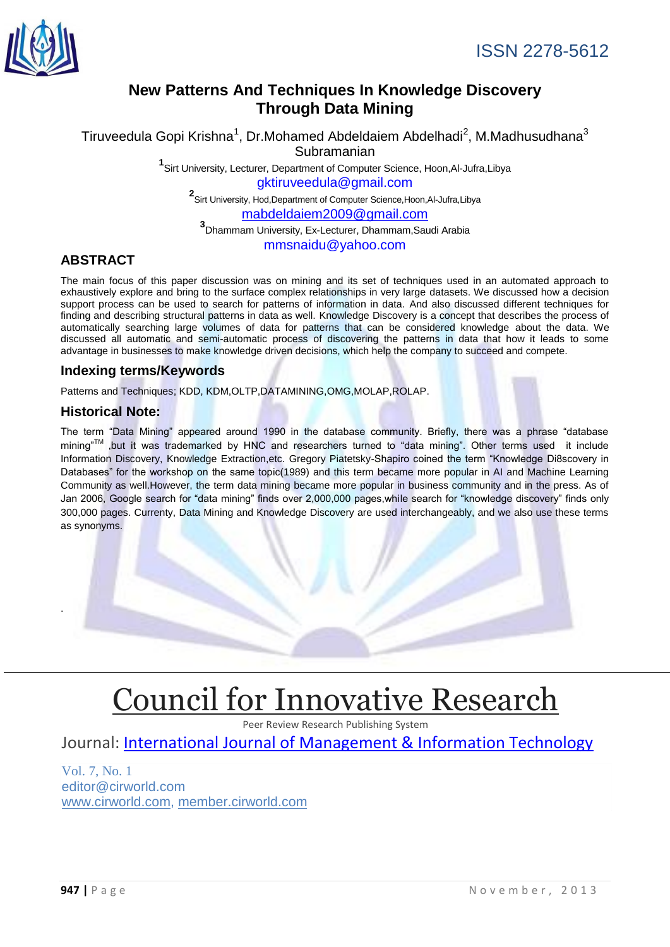



# **New Patterns And Techniques In Knowledge Discovery Through Data Mining**

Tiruveedula Gopi Krishna<sup>1</sup>, Dr.Mohamed Abdeldaiem Abdelhadi<sup>2</sup>, M.Madhusudhana<sup>3</sup> Subramanian

**1** Sirt University, Lecturer, Department of Computer Science, Hoon,Al-Jufra,Libya [gktiruveedula@gmail.com](mailto:gktiruveedula@gmail.com)

**2** Sirt University, Hod,Department of Computer Science,Hoon,Al-Jufra,Libya

[mabdeldaiem2009@gmail.com](mailto:mabdeldaiem2009@gmail.com)

**3** Dhammam University, Ex-Lecturer, Dhammam,Saudi Arabia [mmsnaidu@](mailto:mmsnaidu@yahoo.com)yahoo.com

## **ABSTRACT**

The main focus of this paper discussion was on mining and its set of techniques used in an automated approach to exhaustively explore and bring to the surface complex relationships in very large datasets. We discussed how a decision support process can be used to search for patterns of information in data. And also discussed different techniques for finding and describing structural patterns in data as well. Knowledge Discovery is a concept that describes the process of automatically searching large volumes of data for patterns that can be considered knowledge about the data. We discussed all automatic and semi-automatic process of discovering the patterns in data that how it leads to some advantage in businesses to make knowledge driven decisions, which help the company to succeed and compete.

## **Indexing terms/Keywords**

Patterns and Techniques: KDD, KDM, OLTP, DATAMINING, OMG, MOLAP, ROLAP.

## **Historical Note:**

The term "Data Mining" appeared around 1990 in the database community. Briefly, there was a phrase "database mining"<sup>™</sup>, but it was trademarked by HNC and researchers turned to "data mining". Other terms used it include Information Discovery, Knowledge Extraction,etc. Gregory Piatetsky-Shapiro coined the term "Knowledge Di8scovery in Databases" for the workshop on the same topic(1989) and this term became more popular in AI and Machine Learning Community as well.However, the term data mining became more popular in business community and in the press. As of Jan 2006, Google search for "data mining" finds over 2,000,000 pages,while search for "knowledge discovery" finds only 300,000 pages. Currenty, Data Mining and Knowledge Discovery are used interchangeably, and we also use these terms as synonyms.

# [Council for Innovative Research](http://member.cirworld.com/)

Peer Review Research Publishing System

# Journal: [International Journal of Management & Information Technology](http://www.ijmit.com/)

Vol. 7, No. 1 editor@cirworld.com [www.cirworld.com, me](http://www.cirworld.com/)mber.cirworld.com

.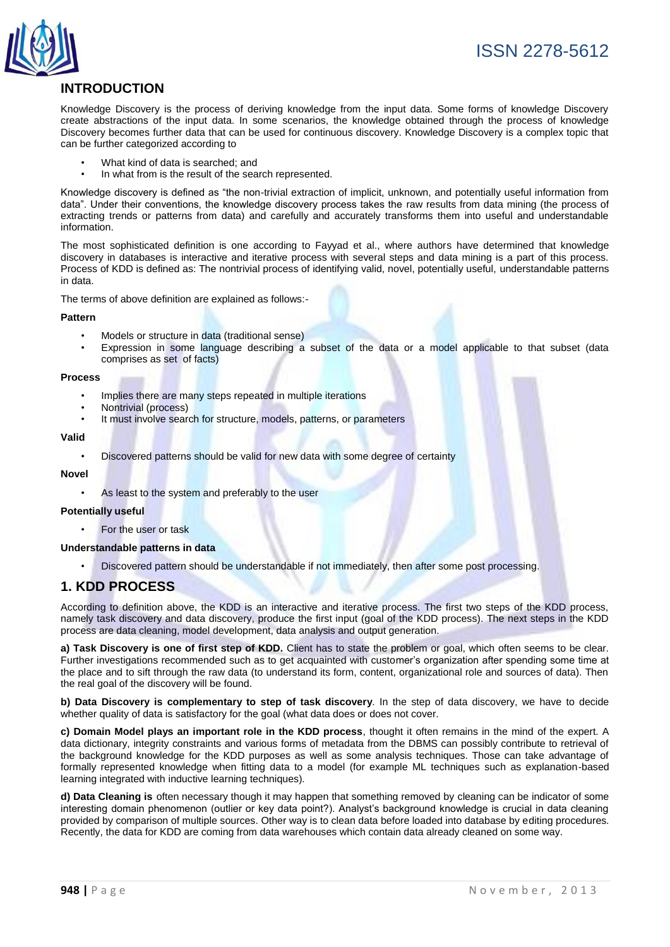

## **INTRODUCTION**

Knowledge Discovery is the process of deriving knowledge from the input data. Some forms of knowledge Discovery create abstractions of the input data. In some scenarios, the knowledge obtained through the process of knowledge Discovery becomes further data that can be used for continuous discovery. Knowledge Discovery is a complex topic that can be further categorized according to

- What kind of data is searched; and
- In what from is the result of the search represented.

Knowledge discovery is defined as "the non-trivial extraction of implicit, unknown, and potentially useful information from data". Under their conventions, the knowledge discovery process takes the raw results from data mining (the process of extracting trends or patterns from data) and carefully and accurately transforms them into useful and understandable information.

The most sophisticated definition is one according to Fayyad et al., where authors have determined that knowledge discovery in databases is interactive and iterative process with several steps and data mining is a part of this process. Process of KDD is defined as: The nontrivial process of identifying valid, novel, potentially useful, understandable patterns in data.

The terms of above definition are explained as follows:-

#### **Pattern**

- Models or structure in data (traditional sense)
- Expression in some language describing a subset of the data or a model applicable to that subset (data comprises as set of facts)

#### **Process**

- Implies there are many steps repeated in multiple iterations
- Nontrivial (process)
- It must involve search for structure, models, patterns, or parameters

#### **Valid**

• Discovered patterns should be valid for new data with some degree of certainty

#### **Novel**

As least to the system and preferably to the user

#### **Potentially useful**

• For the user or task

#### **Understandable patterns in data**

• Discovered pattern should be understandable if not immediately, then after some post processing.

#### **1. KDD PROCESS**

According to definition above, the KDD is an interactive and iterative process. The first two steps of the KDD process, namely task discovery and data discovery, produce the first input (goal of the KDD process). The next steps in the KDD process are data cleaning, model development, data analysis and output generation.

**a) Task Discovery is one of first step of KDD.** Client has to state the problem or goal, which often seems to be clear. Further investigations recommended such as to get acquainted with customer's organization after spending some time at the place and to sift through the raw data (to understand its form, content, organizational role and sources of data). Then the real goal of the discovery will be found.

**b) Data Discovery is complementary to step of task discovery**. In the step of data discovery, we have to decide whether quality of data is satisfactory for the goal (what data does or does not cover.

**c) Domain Model plays an important role in the KDD process**, thought it often remains in the mind of the expert. A data dictionary, integrity constraints and various forms of metadata from the DBMS can possibly contribute to retrieval of the background knowledge for the KDD purposes as well as some analysis techniques. Those can take advantage of formally represented knowledge when fitting data to a model (for example ML techniques such as explanation-based learning integrated with inductive learning techniques).

**d) Data Cleaning is** often necessary though it may happen that something removed by cleaning can be indicator of some interesting domain phenomenon (outlier or key data point?). Analyst's background knowledge is crucial in data cleaning provided by comparison of multiple sources. Other way is to clean data before loaded into database by editing procedures. Recently, the data for KDD are coming from data warehouses which contain data already cleaned on some way.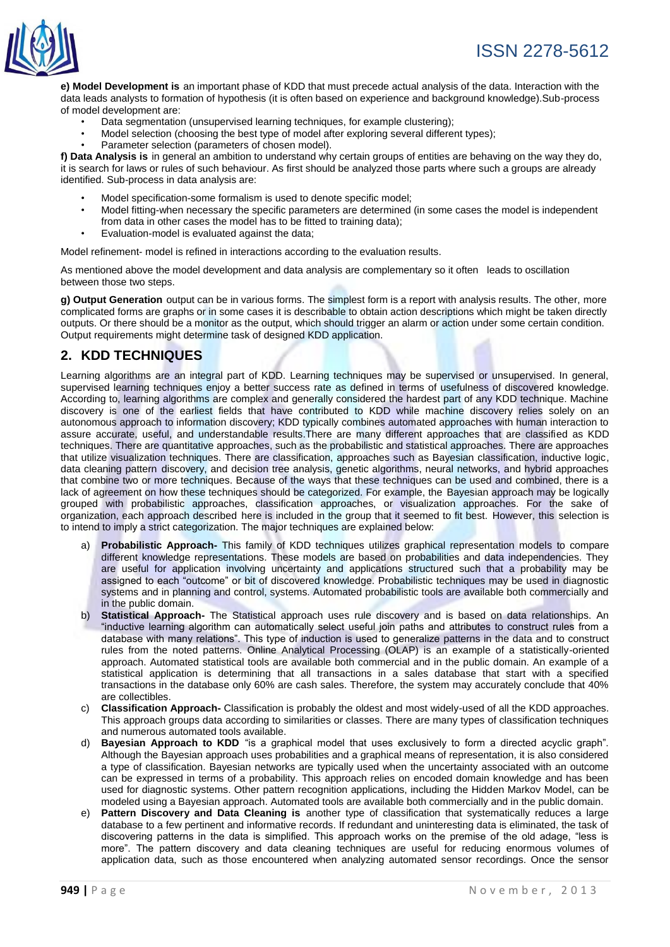

**e) Model Development is** an important phase of KDD that must precede actual analysis of the data. Interaction with the data leads analysts to formation of hypothesis (it is often based on experience and background knowledge).Sub-process of model development are:

- Data segmentation (unsupervised learning techniques, for example clustering);
- Model selection (choosing the best type of model after exploring several different types);
- Parameter selection (parameters of chosen model).

**f) Data Analysis is** in general an ambition to understand why certain groups of entities are behaving on the way they do, it is search for laws or rules of such behaviour. As first should be analyzed those parts where such a groups are already identified. Sub-process in data analysis are:

- Model specification-some formalism is used to denote specific model:
- Model fitting-when necessary the specific parameters are determined (in some cases the model is independent from data in other cases the model has to be fitted to training data);
- Evaluation-model is evaluated against the data;

Model refinement- model is refined in interactions according to the evaluation results.

As mentioned above the model development and data analysis are complementary so it often leads to oscillation between those two steps.

**g) Output Generation** output can be in various forms. The simplest form is a report with analysis results. The other, more complicated forms are graphs or in some cases it is describable to obtain action descriptions which might be taken directly outputs. Or there should be a monitor as the output, which should trigger an alarm or action under some certain condition. Output requirements might determine task of designed KDD application.

## **2. KDD TECHNIQUES**

Learning algorithms are an integral part of KDD. Learning techniques may be supervised or unsupervised. In general, supervised learning techniques enjoy a better success rate as defined in terms of usefulness of discovered knowledge. According to, learning algorithms are complex and generally considered the hardest part of any KDD technique. Machine discovery is one of the earliest fields that have contributed to KDD while machine discovery relies solely on an autonomous approach to information discovery; KDD typically combines automated approaches with human interaction to assure accurate, useful, and understandable results.There are many different approaches that are classified as KDD techniques. There are quantitative approaches, such as the probabilistic and statistical approaches. There are approaches that utilize visualization techniques. There are classification, approaches such as Bayesian classification, inductive logic, data cleaning pattern discovery, and decision tree analysis, genetic algorithms, neural networks, and hybrid approaches that combine two or more techniques. Because of the ways that these techniques can be used and combined, there is a lack of agreement on how these techniques should be categorized. For example, the Bayesian approach may be logically grouped with probabilistic approaches, classification approaches, or visualization approaches. For the sake of organization, each approach described here is included in the group that it seemed to fit best. However, this selection is to intend to imply a strict categorization. The major techniques are explained below:

- a) **Probabilistic Approach-** This family of KDD techniques utilizes graphical representation models to compare different knowledge representations. These models are based on probabilities and data independencies. They are useful for application involving uncertainty and applications structured such that a probability may be assigned to each "outcome" or bit of discovered knowledge. Probabilistic techniques may be used in diagnostic systems and in planning and control, systems. Automated probabilistic tools are available both commercially and in the public domain.
- b) **Statistical Approach-** The Statistical approach uses rule discovery and is based on data relationships. An "inductive learning algorithm can automatically select useful join paths and attributes to construct rules from a database with many relations". This type of induction is used to generalize patterns in the data and to construct rules from the noted patterns. Online Analytical Processing (OLAP) is an example of a statistically-oriented approach. Automated statistical tools are available both commercial and in the public domain. An example of a statistical application is determining that all transactions in a sales database that start with a specified transactions in the database only 60% are cash sales. Therefore, the system may accurately conclude that 40% are collectibles.
- c) **Classification Approach-** Classification is probably the oldest and most widely-used of all the KDD approaches. This approach groups data according to similarities or classes. There are many types of classification techniques and numerous automated tools available.
- d) **Bayesian Approach to KDD** "is a graphical model that uses exclusively to form a directed acyclic graph". Although the Bayesian approach uses probabilities and a graphical means of representation, it is also considered a type of classification. Bayesian networks are typically used when the uncertainty associated with an outcome can be expressed in terms of a probability. This approach relies on encoded domain knowledge and has been used for diagnostic systems. Other pattern recognition applications, including the Hidden Markov Model, can be modeled using a Bayesian approach. Automated tools are available both commercially and in the public domain.
- e) **Pattern Discovery and Data Cleaning is** another type of classification that systematically reduces a large database to a few pertinent and informative records. If redundant and uninteresting data is eliminated, the task of discovering patterns in the data is simplified. This approach works on the premise of the old adage, "less is more". The pattern discovery and data cleaning techniques are useful for reducing enormous volumes of application data, such as those encountered when analyzing automated sensor recordings. Once the sensor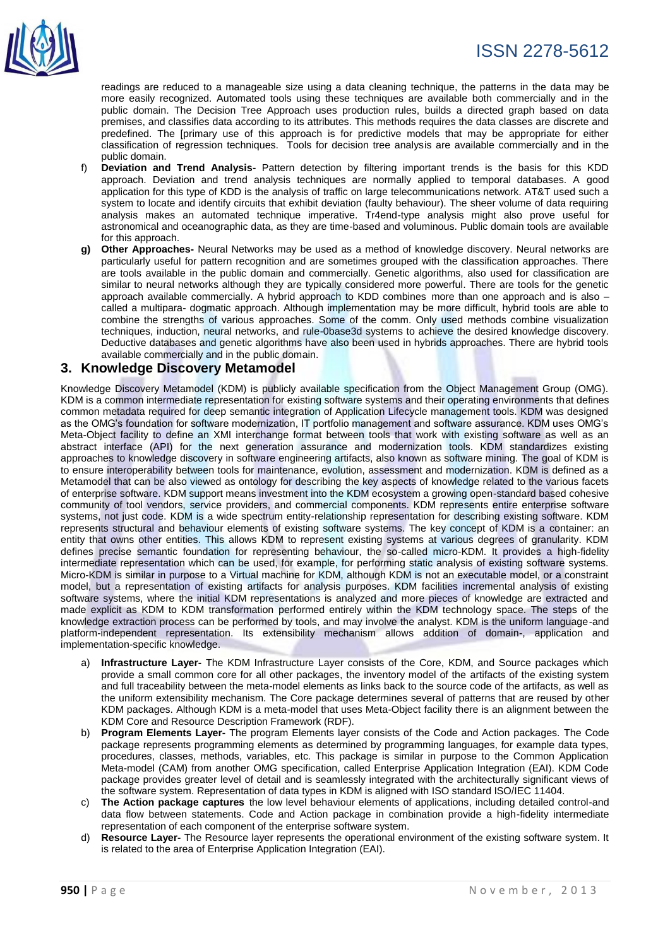

readings are reduced to a manageable size using a data cleaning technique, the patterns in the data may be more easily recognized. Automated tools using these techniques are available both commercially and in the public domain. The Decision Tree Approach uses production rules, builds a directed graph based on data premises, and classifies data according to its attributes. This methods requires the data classes are discrete and predefined. The [primary use of this approach is for predictive models that may be appropriate for either classification of regression techniques. Tools for decision tree analysis are available commercially and in the public domain.

- f) **Deviation and Trend Analysis-** Pattern detection by filtering important trends is the basis for this KDD approach. Deviation and trend analysis techniques are normally applied to temporal databases. A good application for this type of KDD is the analysis of traffic on large telecommunications network. AT&T used such a system to locate and identify circuits that exhibit deviation (faulty behaviour). The sheer volume of data requiring analysis makes an automated technique imperative. Tr4end-type analysis might also prove useful for astronomical and oceanographic data, as they are time-based and voluminous. Public domain tools are available for this approach.
- **g) Other Approaches-** Neural Networks may be used as a method of knowledge discovery. Neural networks are particularly useful for pattern recognition and are sometimes grouped with the classification approaches. There are tools available in the public domain and commercially. Genetic algorithms, also used for classification are similar to neural networks although they are typically considered more powerful. There are tools for the genetic approach available commercially. A hybrid approach to KDD combines more than one approach and is also – called a multipara- dogmatic approach. Although implementation may be more difficult, hybrid tools are able to combine the strengths of various approaches. Some of the comm. Only used methods combine visualization techniques, induction, neural networks, and rule-0base3d systems to achieve the desired knowledge discovery. Deductive databases and genetic algorithms have also been used in hybrids approaches. There are hybrid tools available commercially and in the public domain.

### **3. Knowledge Discovery Metamodel**

Knowledge Discovery Metamodel (KDM) is publicly available specification from the Object Management Group (OMG). KDM is a common intermediate representation for existing software systems and their operating environments that defines common metadata required for deep semantic integration of Application Lifecycle management tools. KDM was designed as the OMG's foundation for software modernization, IT portfolio management and software assurance. KDM uses OMG's Meta-Object facility to define an XMI interchange format between tools that work with existing software as well as an abstract interface (API) for the next generation assurance and modernization tools. KDM standardizes existing approaches to knowledge discovery in software engineering artifacts, also known as software mining. The goal of KDM is to ensure interoperability between tools for maintenance, evolution, assessment and modernization. KDM is defined as a Metamodel that can be also viewed as ontology for describing the key aspects of knowledge related to the various facets of enterprise software. KDM support means investment into the KDM ecosystem a growing open-standard based cohesive community of tool vendors, service providers, and commercial components. KDM represents entire enterprise software systems, not just code. KDM is a wide spectrum entity-relationship representation for describing existing software. KDM represents structural and behaviour elements of existing software systems. The key concept of KDM is a container: an entity that owns other entities. This allows KDM to represent existing systems at various degrees of granularity. KDM defines precise semantic foundation for representing behaviour, the so-called micro-KDM. It provides a high-fidelity intermediate representation which can be used, for example, for performing static analysis of existing software systems. Micro-KDM is similar in purpose to a Virtual machine for KDM, although KDM is not an executable model, or a constraint model, but a representation of existing artifacts for analysis purposes. KDM facilities incremental analysis of existing software systems, where the initial KDM representations is analyzed and more pieces of knowledge are extracted and made explicit as KDM to KDM transformation performed entirely within the KDM technology space. The steps of the knowledge extraction process can be performed by tools, and may involve the analyst. KDM is the uniform language-and platform-independent representation. Its extensibility mechanism allows addition of domain-, application and implementation-specific knowledge.

- a) **Infrastructure Layer-** The KDM Infrastructure Layer consists of the Core, KDM, and Source packages which provide a small common core for all other packages, the inventory model of the artifacts of the existing system and full traceability between the meta-model elements as links back to the source code of the artifacts, as well as the uniform extensibility mechanism. The Core package determines several of patterns that are reused by other KDM packages. Although KDM is a meta-model that uses Meta-Object facility there is an alignment between the KDM Core and Resource Description Framework (RDF).
- b) **Program Elements Layer-** The program Elements layer consists of the Code and Action packages. The Code package represents programming elements as determined by programming languages, for example data types, procedures, classes, methods, variables, etc. This package is similar in purpose to the Common Application Meta-model (CAM) from another OMG specification, called Enterprise Application Integration (EAI). KDM Code package provides greater level of detail and is seamlessly integrated with the architecturally significant views of the software system. Representation of data types in KDM is aligned with ISO standard ISO/IEC 11404.
- c) **The Action package captures** the low level behaviour elements of applications, including detailed control-and data flow between statements. Code and Action package in combination provide a high-fidelity intermediate representation of each component of the enterprise software system.
- d) **Resource Layer-** The Resource layer represents the operational environment of the existing software system. It is related to the area of Enterprise Application Integration (EAI).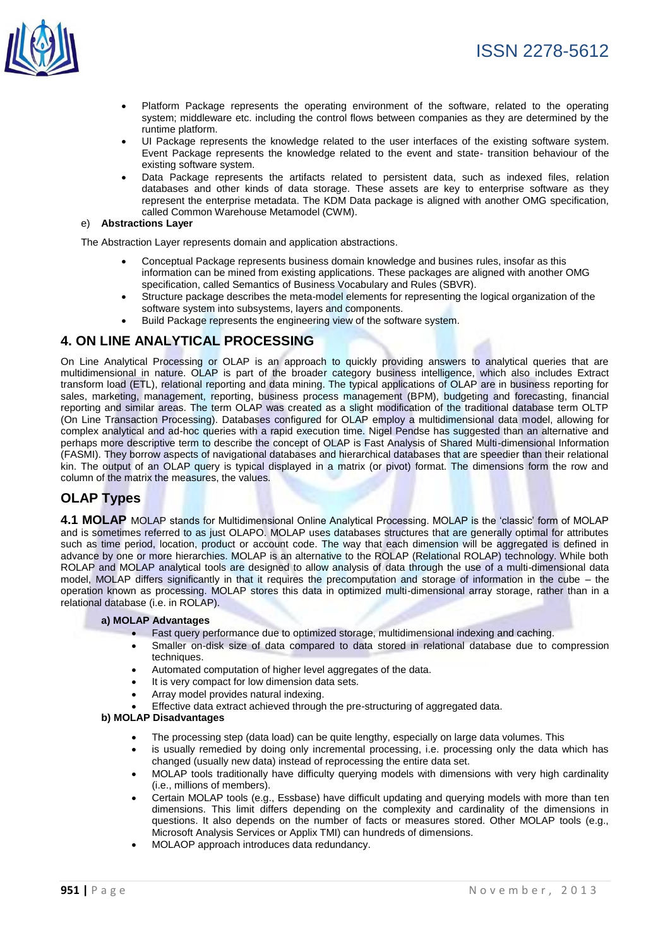

- Platform Package represents the operating environment of the software, related to the operating system; middleware etc. including the control flows between companies as they are determined by the runtime platform.
- UI Package represents the knowledge related to the user interfaces of the existing software system. Event Package represents the knowledge related to the event and state- transition behaviour of the existing software system.
- Data Package represents the artifacts related to persistent data, such as indexed files, relation databases and other kinds of data storage. These assets are key to enterprise software as they represent the enterprise metadata. The KDM Data package is aligned with another OMG specification, called Common Warehouse Metamodel (CWM).

#### e) **Abstractions Layer**

The Abstraction Layer represents domain and application abstractions.

- Conceptual Package represents business domain knowledge and busines rules, insofar as this information can be mined from existing applications. These packages are aligned with another OMG specification, called Semantics of Business Vocabulary and Rules (SBVR).
- Structure package describes the meta-model elements for representing the logical organization of the software system into subsystems, layers and components.
- Build Package represents the engineering view of the software system.

## **4. ON LINE ANALYTICAL PROCESSING**

On Line Analytical Processing or OLAP is an approach to quickly providing answers to analytical queries that are multidimensional in nature. OLAP is part of the broader category business intelligence, which also includes Extract transform load (ETL), relational reporting and data mining. The typical applications of OLAP are in business reporting for sales, marketing, management, reporting, business process management (BPM), budgeting and forecasting, financial reporting and similar areas. The term OLAP was created as a slight modification of the traditional database term OLTP (On Line Transaction Processing). Databases configured for OLAP employ a multidimensional data model, allowing for complex analytical and ad-hoc queries with a rapid execution time. Nigel Pendse has suggested than an alternative and perhaps more descriptive term to describe the concept of OLAP is Fast Analysis of Shared Multi-dimensional Information (FASMI). They borrow aspects of navigational databases and hierarchical databases that are speedier than their relational kin. The output of an OLAP query is typical displayed in a matrix (or pivot) format. The dimensions form the row and column of the matrix the measures, the values.

## **OLAP Types**

**4.1 MOLAP** MOLAP stands for Multidimensional Online Analytical Processing. MOLAP is the 'classic' form of MOLAP and is sometimes referred to as just OLAPO. MOLAP uses databases structures that are generally optimal for attributes such as time period, location, product or account code. The way that each dimension will be aggregated is defined in advance by one or more hierarchies. MOLAP is an alternative to the ROLAP (Relational ROLAP) technology. While both ROLAP and MOLAP analytical tools are designed to allow analysis of data through the use of a multi-dimensional data model, MOLAP differs significantly in that it requires the precomputation and storage of information in the cube – the operation known as processing. MOLAP stores this data in optimized multi-dimensional array storage, rather than in a relational database (i.e. in ROLAP).

#### **a) MOLAP Advantages**

- Fast query performance due to optimized storage, multidimensional indexing and caching.
- Smaller on-disk size of data compared to data stored in relational database due to compression techniques.
- Automated computation of higher level aggregates of the data.
- It is very compact for low dimension data sets.
- Array model provides natural indexing.
- Effective data extract achieved through the pre-structuring of aggregated data.

#### **b) MOLAP Disadvantages**

- The processing step (data load) can be quite lengthy, especially on large data volumes. This
- is usually remedied by doing only incremental processing, i.e. processing only the data which has changed (usually new data) instead of reprocessing the entire data set.
- MOLAP tools traditionally have difficulty querying models with dimensions with very high cardinality (i.e., millions of members).
- Certain MOLAP tools (e.g., Essbase) have difficult updating and querying models with more than ten dimensions. This limit differs depending on the complexity and cardinality of the dimensions in questions. It also depends on the number of facts or measures stored. Other MOLAP tools (e.g., Microsoft Analysis Services or Applix TMI) can hundreds of dimensions.
- MOLAOP approach introduces data redundancy.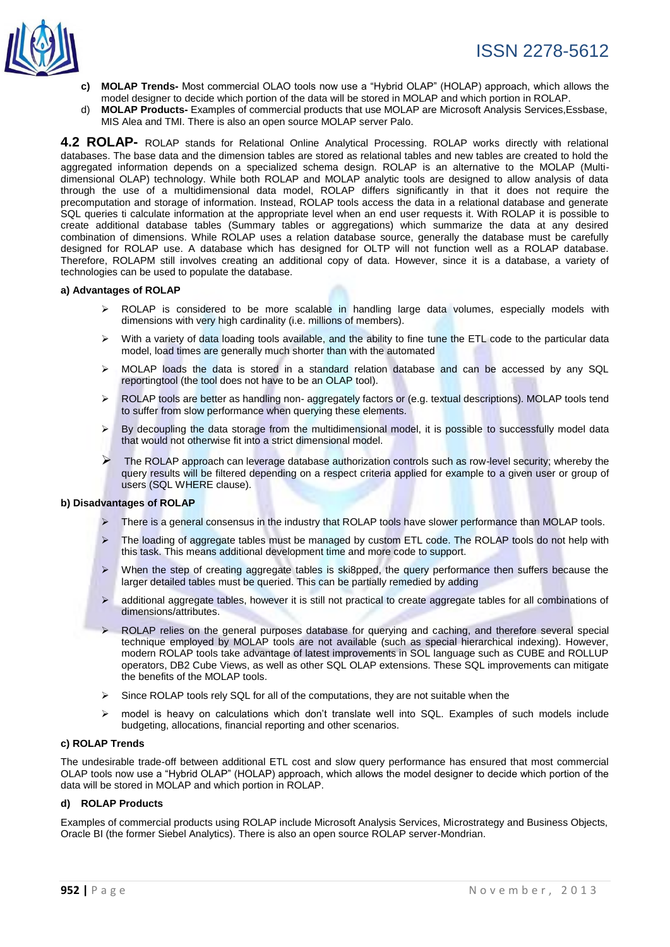

- **c) MOLAP Trends-** Most commercial OLAO tools now use a "Hybrid OLAP" (HOLAP) approach, which allows the model designer to decide which portion of the data will be stored in MOLAP and which portion in ROLAP.
- d) **MOLAP Products-** Examples of commercial products that use MOLAP are Microsoft Analysis Services,Essbase, MIS Alea and TMI. There is also an open source MOLAP server Palo.

4.2 ROLAP- ROLAP stands for Relational Online Analytical Processing. ROLAP works directly with relational databases. The base data and the dimension tables are stored as relational tables and new tables are created to hold the aggregated information depends on a specialized schema design. ROLAP is an alternative to the MOLAP (Multidimensional OLAP) technology. While both ROLAP and MOLAP analytic tools are designed to allow analysis of data through the use of a multidimensional data model, ROLAP differs significantly in that it does not require the precomputation and storage of information. Instead, ROLAP tools access the data in a relational database and generate SQL queries ti calculate information at the appropriate level when an end user requests it. With ROLAP it is possible to create additional database tables (Summary tables or aggregations) which summarize the data at any desired combination of dimensions. While ROLAP uses a relation database source, generally the database must be carefully designed for ROLAP use. A database which has designed for OLTP will not function well as a ROLAP database. Therefore, ROLAPM still involves creating an additional copy of data. However, since it is a database, a variety of technologies can be used to populate the database.

#### **a) Advantages of ROLAP**

- $\triangleright$  ROLAP is considered to be more scalable in handling large data volumes, especially models with dimensions with very high cardinality (i.e. millions of members).
- $\triangleright$  With a variety of data loading tools available, and the ability to fine tune the ETL code to the particular data model, load times are generally much shorter than with the automated
- $\triangleright$  MOLAP loads the data is stored in a standard relation database and can be accessed by any SQL reportingtool (the tool does not have to be an OLAP tool).
- ▶ ROLAP tools are better as handling non- aggregately factors or (e.g. textual descriptions). MOLAP tools tend to suffer from slow performance when querying these elements.
- $\triangleright$  By decoupling the data storage from the multidimensional model, it is possible to successfully model data that would not otherwise fit into a strict dimensional model.
- The ROLAP approach can leverage database authorization controls such as row-level security; whereby the query results will be filtered depending on a respect criteria applied for example to a given user or group of users (SQL WHERE clause).

#### **b) Disadvantages of ROLAP**

- There is a general consensus in the industry that ROLAP tools have slower performance than MOLAP tools.
- $\triangleright$  The loading of aggregate tables must be managed by custom ETL code. The ROLAP tools do not help with this task. This means additional development time and more code to support.
- $\triangleright$  When the step of creating aggregate tables is ski8pped, the query performance then suffers because the larger detailed tables must be queried. This can be partially remedied by adding
- $\triangleright$  additional aggregate tables, however it is still not practical to create aggregate tables for all combinations of dimensions/attributes.
- ▶ ROLAP relies on the general purposes database for querying and caching, and therefore several special technique employed by MOLAP tools are not available (such as special hierarchical indexing). However, modern ROLAP tools take advantage of latest improvements in SOL language such as CUBE and ROLLUP operators, DB2 Cube Views, as well as other SQL OLAP extensions. These SQL improvements can mitigate the benefits of the MOLAP tools.
- $\triangleright$  Since ROLAP tools rely SQL for all of the computations, they are not suitable when the
- $\triangleright$  model is heavy on calculations which don't translate well into SQL. Examples of such models include budgeting, allocations, financial reporting and other scenarios.

#### **c) ROLAP Trends**

The undesirable trade-off between additional ETL cost and slow query performance has ensured that most commercial OLAP tools now use a "Hybrid OLAP" (HOLAP) approach, which allows the model designer to decide which portion of the data will be stored in MOLAP and which portion in ROLAP.

#### **d) ROLAP Products**

Examples of commercial products using ROLAP include Microsoft Analysis Services, Microstrategy and Business Objects, Oracle BI (the former Siebel Analytics). There is also an open source ROLAP server-Mondrian.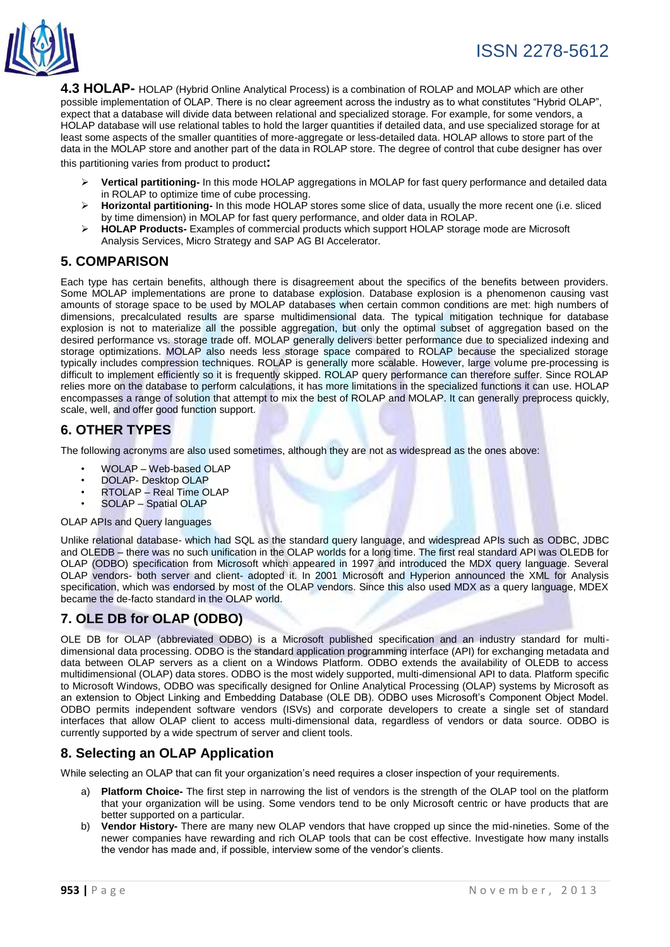

**4.3 HOLAP-** HOLAP (Hybrid Online Analytical Process) is a combination of ROLAP and MOLAP which are other possible implementation of OLAP. There is no clear agreement across the industry as to what constitutes "Hybrid OLAP", expect that a database will divide data between relational and specialized storage. For example, for some vendors, a HOLAP database will use relational tables to hold the larger quantities if detailed data, and use specialized storage for at least some aspects of the smaller quantities of more-aggregate or less-detailed data. HOLAP allows to store part of the data in the MOLAP store and another part of the data in ROLAP store. The degree of control that cube designer has over

this partitioning varies from product to product**:**

- **Vertical partitioning-** In this mode HOLAP aggregations in MOLAP for fast query performance and detailed data in ROLAP to optimize time of cube processing.
- **Horizontal partitioning-** In this mode HOLAP stores some slice of data, usually the more recent one (i.e. sliced by time dimension) in MOLAP for fast query performance, and older data in ROLAP.
- **HOLAP Products-** Examples of commercial products which support HOLAP storage mode are Microsoft Analysis Services, Micro Strategy and SAP AG BI Accelerator.

## **5. COMPARISON**

Each type has certain benefits, although there is disagreement about the specifics of the benefits between providers. Some MOLAP implementations are prone to database explosion. Database explosion is a phenomenon causing vast amounts of storage space to be used by MOLAP databases when certain common conditions are met: high numbers of dimensions, precalculated results are sparse multidimensional data. The typical mitigation technique for database explosion is not to materialize all the possible aggregation, but only the optimal subset of aggregation based on the desired performance vs. storage trade off. MOLAP generally delivers better performance due to specialized indexing and storage optimizations. MOLAP also needs less storage space compared to ROLAP because the specialized storage typically includes compression techniques. ROLAP is generally more scalable. However, large volume pre-processing is difficult to implement efficiently so it is frequently skipped. ROLAP query performance can therefore suffer. Since ROLAP relies more on the database to perform calculations, it has more limitations in the specialized functions it can use. HOLAP encompasses a range of solution that attempt to mix the best of ROLAP and MOLAP. It can generally preprocess quickly, scale, well, and offer good function support.

## **6. OTHER TYPES**

The following acronyms are also used sometimes, although they are not as widespread as the ones above:

- WOLAP Web-based OLAP
- DOLAP- Desktop OLAP
- RTOLAP Real Time OLAP
- SOLAP Spatial OLAP

#### OLAP APIs and Query languages

Unlike relational database- which had SQL as the standard query language, and widespread APIs such as ODBC, JDBC and OLEDB – there was no such unification in the OLAP worlds for a long time. The first real standard API was OLEDB for OLAP (ODBO) specification from Microsoft which appeared in 1997 and introduced the MDX query language. Several OLAP vendors- both server and client- adopted it. In 2001 Microsoft and Hyperion announced the XML for Analysis specification, which was endorsed by most of the OLAP vendors. Since this also used MDX as a query language, MDEX became the de-facto standard in the OLAP world.

## **7. OLE DB for OLAP (ODBO)**

OLE DB for OLAP (abbreviated ODBO) is a Microsoft published specification and an industry standard for multidimensional data processing. ODBO is the standard application programming interface (API) for exchanging metadata and data between OLAP servers as a client on a Windows Platform. ODBO extends the availability of OLEDB to access multidimensional (OLAP) data stores. ODBO is the most widely supported, multi-dimensional API to data. Platform specific to Microsoft Windows, ODBO was specifically designed for Online Analytical Processing (OLAP) systems by Microsoft as an extension to Object Linking and Embedding Database (OLE DB). ODBO uses Microsoft's Component Object Model. ODBO permits independent software vendors (ISVs) and corporate developers to create a single set of standard interfaces that allow OLAP client to access multi-dimensional data, regardless of vendors or data source. ODBO is currently supported by a wide spectrum of server and client tools.

## **8. Selecting an OLAP Application**

While selecting an OLAP that can fit your organization's need requires a closer inspection of your requirements.

- a) **Platform Choice-** The first step in narrowing the list of vendors is the strength of the OLAP tool on the platform that your organization will be using. Some vendors tend to be only Microsoft centric or have products that are better supported on a particular.
- b) **Vendor History-** There are many new OLAP vendors that have cropped up since the mid-nineties. Some of the newer companies have rewarding and rich OLAP tools that can be cost effective. Investigate how many installs the vendor has made and, if possible, interview some of the vendor's clients.